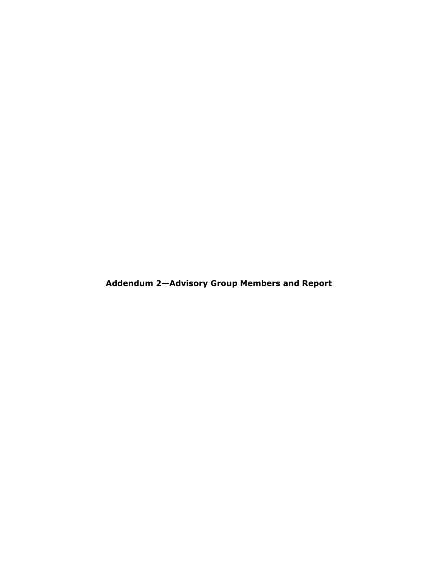**Addendum 2—Advisory Group Members and Report**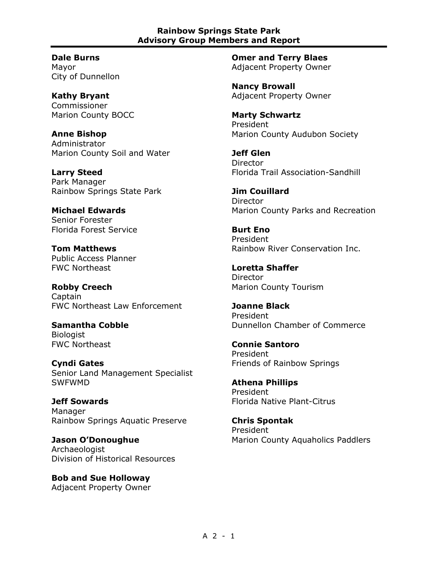**Dale Burns** Mayor City of Dunnellon

**Kathy Bryant** Commissioner Marion County BOCC

**Anne Bishop** Administrator Marion County Soil and Water

**Larry Steed** Park Manager Rainbow Springs State Park

**Michael Edwards** Senior Forester Florida Forest Service

**Tom Matthews** Public Access Planner FWC Northeast

**Robby Creech Captain** FWC Northeast Law Enforcement

**Samantha Cobble Biologist** FWC Northeast

**Cyndi Gates** Senior Land Management Specialist SWFWMD

**Jeff Sowards** Manager Rainbow Springs Aquatic Preserve

**Jason O'Donoughue Archaeologist** Division of Historical Resources

**Bob and Sue Holloway** Adjacent Property Owner **Omer and Terry Blaes** Adjacent Property Owner

**Nancy Browall** Adjacent Property Owner

**Marty Schwartz** President Marion County Audubon Society

**Jeff Glen** Director Florida Trail Association-Sandhill

**Jim Couillard Director** Marion County Parks and Recreation

**Burt Eno** President Rainbow River Conservation Inc.

**Loretta Shaffer** Director Marion County Tourism

**Joanne Black** President Dunnellon Chamber of Commerce

**Connie Santoro** President Friends of Rainbow Springs

**Athena Phillips** President Florida Native Plant-Citrus

**Chris Spontak** President Marion County Aquaholics Paddlers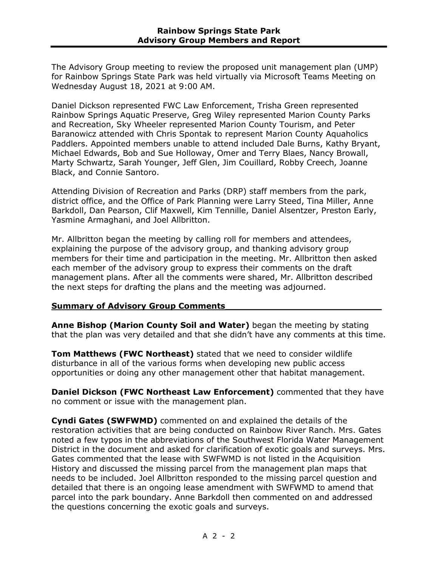The Advisory Group meeting to review the proposed unit management plan (UMP) for Rainbow Springs State Park was held virtually via Microsoft Teams Meeting on Wednesday August 18, 2021 at 9:00 AM.

Daniel Dickson represented FWC Law Enforcement, Trisha Green represented Rainbow Springs Aquatic Preserve, Greg Wiley represented Marion County Parks and Recreation, Sky Wheeler represented Marion County Tourism, and Peter Baranowicz attended with Chris Spontak to represent Marion County Aquaholics Paddlers. Appointed members unable to attend included Dale Burns, Kathy Bryant, Michael Edwards, Bob and Sue Holloway, Omer and Terry Blaes, Nancy Browall, Marty Schwartz, Sarah Younger, Jeff Glen, Jim Couillard, Robby Creech, Joanne Black, and Connie Santoro.

Attending Division of Recreation and Parks (DRP) staff members from the park, district office, and the Office of Park Planning were Larry Steed, Tina Miller, Anne Barkdoll, Dan Pearson, Clif Maxwell, Kim Tennille, Daniel Alsentzer, Preston Early, Yasmine Armaghani, and Joel Allbritton.

Mr. Allbritton began the meeting by calling roll for members and attendees, explaining the purpose of the advisory group, and thanking advisory group members for their time and participation in the meeting. Mr. Allbritton then asked each member of the advisory group to express their comments on the draft management plans. After all the comments were shared, Mr. Allbritton described the next steps for drafting the plans and the meeting was adjourned.

#### **Summary of Advisory Group Comments\_\_\_\_\_\_\_\_\_\_\_\_\_\_\_\_\_\_\_\_\_\_\_\_\_\_\_\_**

**Anne Bishop (Marion County Soil and Water)** began the meeting by stating that the plan was very detailed and that she didn't have any comments at this time.

**Tom Matthews (FWC Northeast)** stated that we need to consider wildlife disturbance in all of the various forms when developing new public access opportunities or doing any other management other that habitat management.

**Daniel Dickson (FWC Northeast Law Enforcement)** commented that they have no comment or issue with the management plan.

**Cyndi Gates (SWFWMD)** commented on and explained the details of the restoration activities that are being conducted on Rainbow River Ranch. Mrs. Gates noted a few typos in the abbreviations of the Southwest Florida Water Management District in the document and asked for clarification of exotic goals and surveys. Mrs. Gates commented that the lease with SWFWMD is not listed in the Acquisition History and discussed the missing parcel from the management plan maps that needs to be included. Joel Allbritton responded to the missing parcel question and detailed that there is an ongoing lease amendment with SWFWMD to amend that parcel into the park boundary. Anne Barkdoll then commented on and addressed the questions concerning the exotic goals and surveys.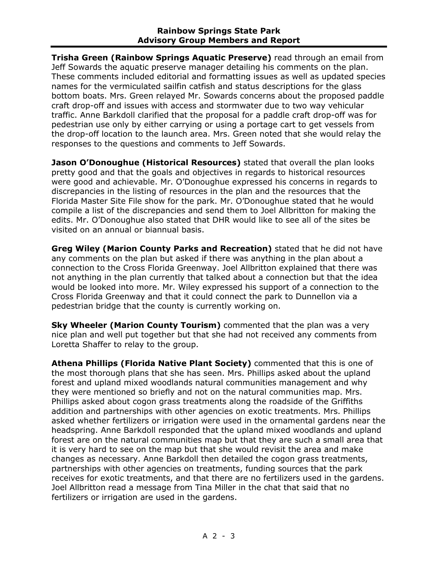**Trisha Green (Rainbow Springs Aquatic Preserve)** read through an email from Jeff Sowards the aquatic preserve manager detailing his comments on the plan. These comments included editorial and formatting issues as well as updated species names for the vermiculated sailfin catfish and status descriptions for the glass bottom boats. Mrs. Green relayed Mr. Sowards concerns about the proposed paddle craft drop-off and issues with access and stormwater due to two way vehicular traffic. Anne Barkdoll clarified that the proposal for a paddle craft drop-off was for pedestrian use only by either carrying or using a portage cart to get vessels from the drop-off location to the launch area. Mrs. Green noted that she would relay the responses to the questions and comments to Jeff Sowards.

**Jason O'Donoughue (Historical Resources)** stated that overall the plan looks pretty good and that the goals and objectives in regards to historical resources were good and achievable. Mr. O'Donoughue expressed his concerns in regards to discrepancies in the listing of resources in the plan and the resources that the Florida Master Site File show for the park. Mr. O'Donoughue stated that he would compile a list of the discrepancies and send them to Joel Allbritton for making the edits. Mr. O'Donoughue also stated that DHR would like to see all of the sites be visited on an annual or biannual basis.

**Greg Wiley (Marion County Parks and Recreation)** stated that he did not have any comments on the plan but asked if there was anything in the plan about a connection to the Cross Florida Greenway. Joel Allbritton explained that there was not anything in the plan currently that talked about a connection but that the idea would be looked into more. Mr. Wiley expressed his support of a connection to the Cross Florida Greenway and that it could connect the park to Dunnellon via a pedestrian bridge that the county is currently working on.

**Sky Wheeler (Marion County Tourism)** commented that the plan was a very nice plan and well put together but that she had not received any comments from Loretta Shaffer to relay to the group.

**Athena Phillips (Florida Native Plant Society)** commented that this is one of the most thorough plans that she has seen. Mrs. Phillips asked about the upland forest and upland mixed woodlands natural communities management and why they were mentioned so briefly and not on the natural communities map. Mrs. Phillips asked about cogon grass treatments along the roadside of the Griffiths addition and partnerships with other agencies on exotic treatments. Mrs. Phillips asked whether fertilizers or irrigation were used in the ornamental gardens near the headspring. Anne Barkdoll responded that the upland mixed woodlands and upland forest are on the natural communities map but that they are such a small area that it is very hard to see on the map but that she would revisit the area and make changes as necessary. Anne Barkdoll then detailed the cogon grass treatments, partnerships with other agencies on treatments, funding sources that the park receives for exotic treatments, and that there are no fertilizers used in the gardens. Joel Allbritton read a message from Tina Miller in the chat that said that no fertilizers or irrigation are used in the gardens.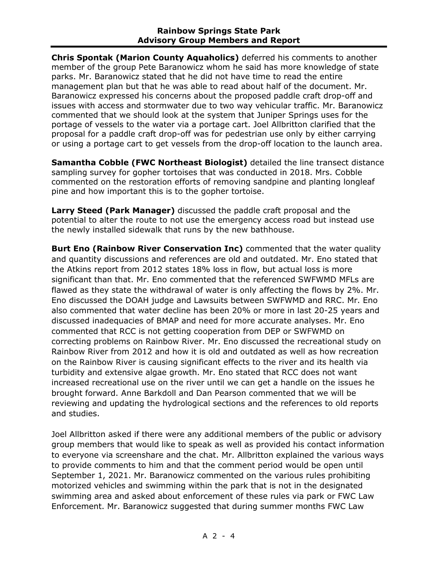**Chris Spontak (Marion County Aquaholics)** deferred his comments to another member of the group Pete Baranowicz whom he said has more knowledge of state parks. Mr. Baranowicz stated that he did not have time to read the entire management plan but that he was able to read about half of the document. Mr. Baranowicz expressed his concerns about the proposed paddle craft drop-off and issues with access and stormwater due to two way vehicular traffic. Mr. Baranowicz commented that we should look at the system that Juniper Springs uses for the portage of vessels to the water via a portage cart. Joel Allbritton clarified that the proposal for a paddle craft drop-off was for pedestrian use only by either carrying or using a portage cart to get vessels from the drop-off location to the launch area.

**Samantha Cobble (FWC Northeast Biologist)** detailed the line transect distance sampling survey for gopher tortoises that was conducted in 2018. Mrs. Cobble commented on the restoration efforts of removing sandpine and planting longleaf pine and how important this is to the gopher tortoise.

**Larry Steed (Park Manager)** discussed the paddle craft proposal and the potential to alter the route to not use the emergency access road but instead use the newly installed sidewalk that runs by the new bathhouse.

**Burt Eno (Rainbow River Conservation Inc)** commented that the water quality and quantity discussions and references are old and outdated. Mr. Eno stated that the Atkins report from 2012 states 18% loss in flow, but actual loss is more significant than that. Mr. Eno commented that the referenced SWFWMD MFLs are flawed as they state the withdrawal of water is only affecting the flows by 2%. Mr. Eno discussed the DOAH judge and Lawsuits between SWFWMD and RRC. Mr. Eno also commented that water decline has been 20% or more in last 20-25 years and discussed inadequacies of BMAP and need for more accurate analyses. Mr. Eno commented that RCC is not getting cooperation from DEP or SWFWMD on correcting problems on Rainbow River. Mr. Eno discussed the recreational study on Rainbow River from 2012 and how it is old and outdated as well as how recreation on the Rainbow River is causing significant effects to the river and its health via turbidity and extensive algae growth. Mr. Eno stated that RCC does not want increased recreational use on the river until we can get a handle on the issues he brought forward. Anne Barkdoll and Dan Pearson commented that we will be reviewing and updating the hydrological sections and the references to old reports and studies.

Joel Allbritton asked if there were any additional members of the public or advisory group members that would like to speak as well as provided his contact information to everyone via screenshare and the chat. Mr. Allbritton explained the various ways to provide comments to him and that the comment period would be open until September 1, 2021. Mr. Baranowicz commented on the various rules prohibiting motorized vehicles and swimming within the park that is not in the designated swimming area and asked about enforcement of these rules via park or FWC Law Enforcement. Mr. Baranowicz suggested that during summer months FWC Law